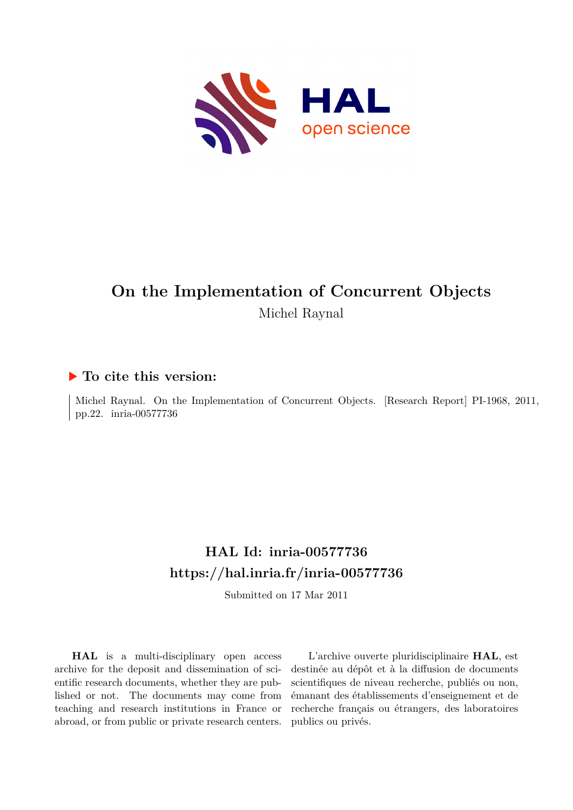

# **On the Implementation of Concurrent Objects** Michel Raynal

## **To cite this version:**

Michel Raynal. On the Implementation of Concurrent Objects. [Research Report] PI-1968, 2011, pp.22. inria-00577736

# **HAL Id: inria-00577736 <https://hal.inria.fr/inria-00577736>**

Submitted on 17 Mar 2011

**HAL** is a multi-disciplinary open access archive for the deposit and dissemination of scientific research documents, whether they are published or not. The documents may come from teaching and research institutions in France or abroad, or from public or private research centers.

L'archive ouverte pluridisciplinaire **HAL**, est destinée au dépôt et à la diffusion de documents scientifiques de niveau recherche, publiés ou non, émanant des établissements d'enseignement et de recherche français ou étrangers, des laboratoires publics ou privés.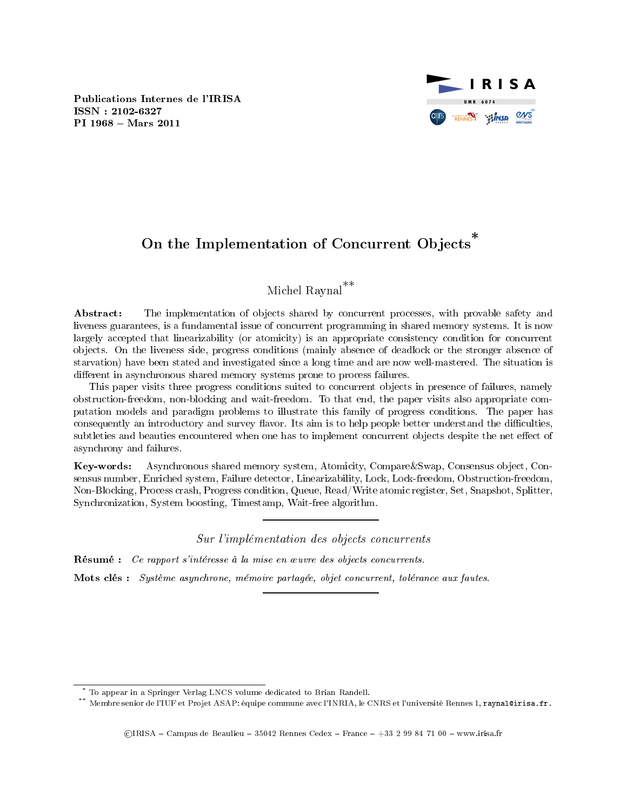Publications Internes de l'IRISA ISSN : 2102-6327 PI 1968 - Mars 2011



# On the Implementation of Concurrent Objects<sup>\*</sup>

## Michel Raynal\*\*

Abstract: The implementation of objects shared by concurrent processes, with provable safety and liveness guarantees, is a fundamental issue of concurrent programming in shared memory systems. It is now largely accepted that linearizability (or atomicity) is an appropriate consistency condition for concurrent objects. On the liveness side, progress conditions (mainly absence of deadlock or the stronger absence of starvation) have been stated and investigated since a long time and are now well-mastered. The situation is different in asynchronous shared memory systems prone to process failures.

This paper visits three progress conditions suited to concurrent objects in presence of failures, namely obstruction-freedom, non-blocking and wait-freedom. To that end, the paper visits also appropriate computation models and paradigm problems to illustrate this family of progress conditions. The paper has consequently an introductory and survey flavor. Its aim is to help people better understand the difficulties, subtleties and beauties encountered when one has to implement concurrent objects despite the net effect of asynchrony and failures.

Key-words: Asynchronous shared memory system, Atomicity, Compare&Swap, Consensus object, Consensus number, Enriched system, Failure detector, Linearizability, Lock, Lock-freedom, Obstruction-freedom, Non-Blocking, Process crash, Progress condition, Queue, Read/Write atomic register, Set, Snapshot, Splitter, Synchronization, System boosting, Timestamp, Wait-free algorithm.

Sur l'implémentation des objects concurrents

Résumé : Ce rapport s'intéresse à la mise en œuvre des objects concurrents.

Mots clés : Système asynchrone, mémoire partagée, objet concurrent, tolérance aux fautes.

<sup>\*</sup> To appear in a Springer Verlag LNCS volume dedicated to Brian Randell. \*\*

Membre senior de l'IUF et Projet ASAP: équipe commune avec l'INRIA, le CNRS et l'université Rennes 1, raynal¢irisa.fr.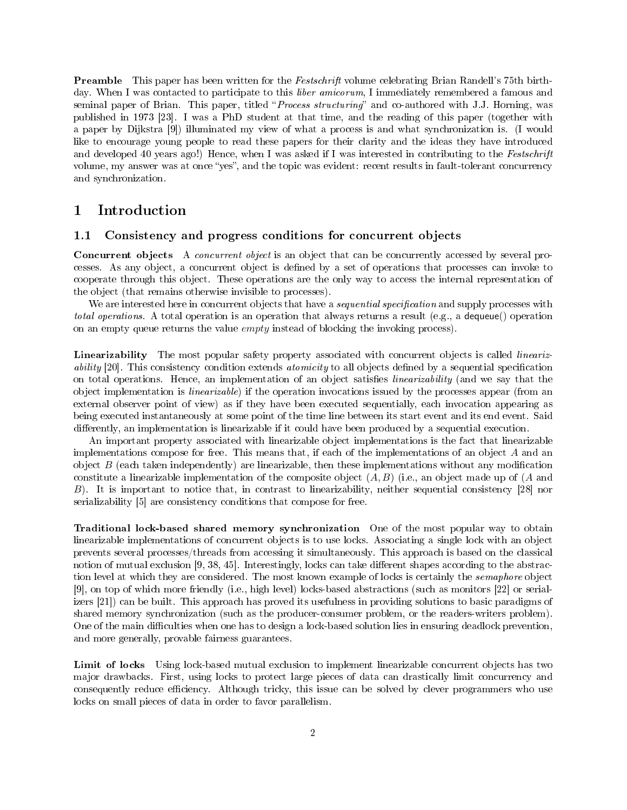Preamble This paper has been written for the Festschrift volume celebrating Brian Randell's 75th birthday. When I was contacted to participate to this *liber amicorum*, I immediately remembered a famous and seminal paper of Brian. This paper, titled "Process structuring" and co-authored with J.J. Horning, was published in 1973 [23]. I was a PhD student at that time, and the reading of this paper (together with a paper by Dijkstra [9]) illuminated my view of what a process is and what synchronization is. (I would like to encourage young people to read these papers for their clarity and the ideas they have introduced and developed 40 years ago!) Hence, when I was asked if I was interested in contributing to the Festschrift volume, my answer was at once "yes", and the topic was evident: recent results in fault-tolerant concurrency and synchronization.

## 1 Introduction

#### 1.1 Consistency and progress conditions for concurrent objects

Concurrent objects A *concurrent object* is an object that can be concurrently accessed by several processes. As any object, a concurrent object is dened by a set of operations that processes can invoke to cooperate through this object. These operations are the only way to access the internal representation of the object (that remains otherwise invisible to processes).

We are interested here in concurrent objects that have a *sequential specification* and supply processes with total operations. A total operation is an operation that always returns a result (e.g., a dequeue() operation on an empty queue returns the value empty instead of blocking the invoking process).

Linearizability The most popular safety property associated with concurrent objects is called *lineariz*ability  $[20]$ . This consistency condition extends atomicity to all objects defined by a sequential specification on total operations. Hence, an implementation of an object satisfies *linearizability* (and we say that the object implementation is linearizable) if the operation invocations issued by the processes appear (from an external observer point of view) as if they have been executed sequentially, each invocation appearing as being executed instantaneously at some point of the time line between its start event and its end event. Said differently, an implementation is linearizable if it could have been produced by a sequential execution.

An important property associated with linearizable object implementations is the fact that linearizable implementations compose for free. This means that, if each of the implementations of an object A and an object  $B$  (each taken independently) are linearizable, then these implementations without any modification constitute a linearizable implementation of the composite object  $(A, B)$  (i.e., an object made up of  $(A \text{ and } B)$ ) B). It is important to notice that, in contrast to linearizability, neither sequential consistency [28] nor serializability [5] are consistency conditions that compose for free.

Traditional lock-based shared memory synchronization One of the most popular way to obtain linearizable implementations of concurrent objects is to use locks. Associating a single lock with an object prevents several processes/threads from accessing it simultaneously. This approach is based on the classical notion of mutual exclusion [9, 38, 45]. Interestingly, locks can take different shapes according to the abstraction level at which they are considered. The most known example of locks is certainly the *semaphore* object [9], on top of which more friendly (i.e., high level) locks-based abstractions (such as monitors [22] or serializers [21]) can be built. This approach has proved its usefulness in providing solutions to basic paradigms of shared memory synchronization (such as the producer-consumer problem, or the readers-writers problem). One of the main difficulties when one has to design a lock-based solution lies in ensuring deadlock prevention, and more generally, provable fairness guarantees.

Limit of locks Using lock-based mutual exclusion to implement linearizable concurrent objects has two major drawbacks. First, using locks to protect large pieces of data can drastically limit concurrency and consequently reduce efficiency. Although tricky, this issue can be solved by clever programmers who use locks on small pieces of data in order to favor parallelism.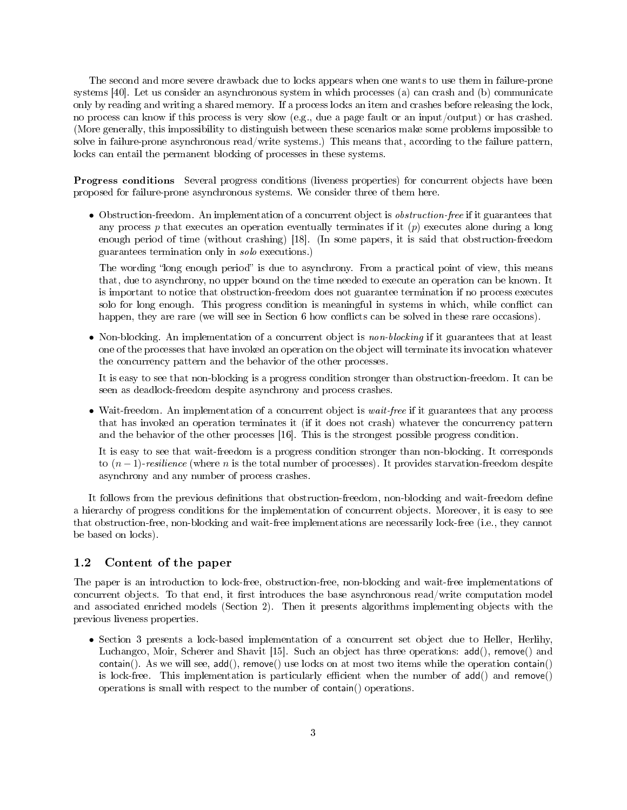The second and more severe drawback due to locks appears when one wants to use them in failure-prone systems [40]. Let us consider an asynchronous system in which processes (a) can crash and (b) communicate only by reading and writing a shared memory. If a process locks an item and crashes before releasing the lock, no process can know if this process is very slow (e.g., due a page fault or an input/output) or has crashed. (More generally, this impossibility to distinguish between these scenarios make some problems impossible to solve in failure-prone asynchronous read/write systems.) This means that, according to the failure pattern, locks can entail the permanent blocking of processes in these systems.

Progress conditions Several progress conditions (liveness properties) for concurrent objects have been proposed for failure-prone asynchronous systems. We consider three of them here.

• Obstruction-freedom. An implementation of a concurrent object is *obstruction-free* if it guarantees that any process  $p$  that executes an operation eventually terminates if it  $(p)$  executes alone during a long enough period of time (without crashing) [18]. (In some papers, it is said that obstruction-freedom guarantees termination only in solo executions.)

The wording "long enough period" is due to asynchrony. From a practical point of view, this means that, due to asynchrony, no upper bound on the time needed to execute an operation can be known. It is important to notice that obstruction-freedom does not guarantee termination if no process executes solo for long enough. This progress condition is meaningful in systems in which, while conflict can happen, they are rare (we will see in Section 6 how conflicts can be solved in these rare occasions).

• Non-blocking. An implementation of a concurrent object is non-blocking if it guarantees that at least one of the processes that have invoked an operation on the object will terminate its invocation whatever the concurrency pattern and the behavior of the other processes.

It is easy to see that non-blocking is a progress condition stronger than obstruction-freedom. It can be seen as deadlock-freedom despite asynchrony and process crashes.

• Wait-freedom. An implementation of a concurrent object is *wait-free* if it guarantees that any process that has invoked an operation terminates it (if it does not crash) whatever the concurrency pattern and the behavior of the other processes [16]. This is the strongest possible progress condition.

It is easy to see that wait-freedom is a progress condition stronger than non-blocking. It corresponds to  $(n-1)$ -resilience (where n is the total number of processes). It provides starvation-freedom despite asynchrony and any number of process crashes.

It follows from the previous definitions that obstruction-freedom, non-blocking and wait-freedom define a hierarchy of progress conditions for the implementation of concurrent objects. Moreover, it is easy to see that obstruction-free, non-blocking and wait-free implementations are necessarily lock-free (i.e., they cannot be based on locks).

#### 1.2 Content of the paper

The paper is an introduction to lock-free, obstruction-free, non-blocking and wait-free implementations of concurrent objects. To that end, it first introduces the base asynchronous read/write computation model and associated enriched models (Section 2). Then it presents algorithms implementing objects with the previous liveness properties.

• Section 3 presents a lock-based implementation of a concurrent set object due to Heller, Herlihy, Luchangco, Moir, Scherer and Shavit [15]. Such an object has three operations:  $add()$ , remove() and contain(). As we will see,  $add()$ , remove() use locks on at most two items while the operation contain() is lock-free. This implementation is particularly efficient when the number of  $add()$  and remove() operations is small with respect to the number of contain() operations.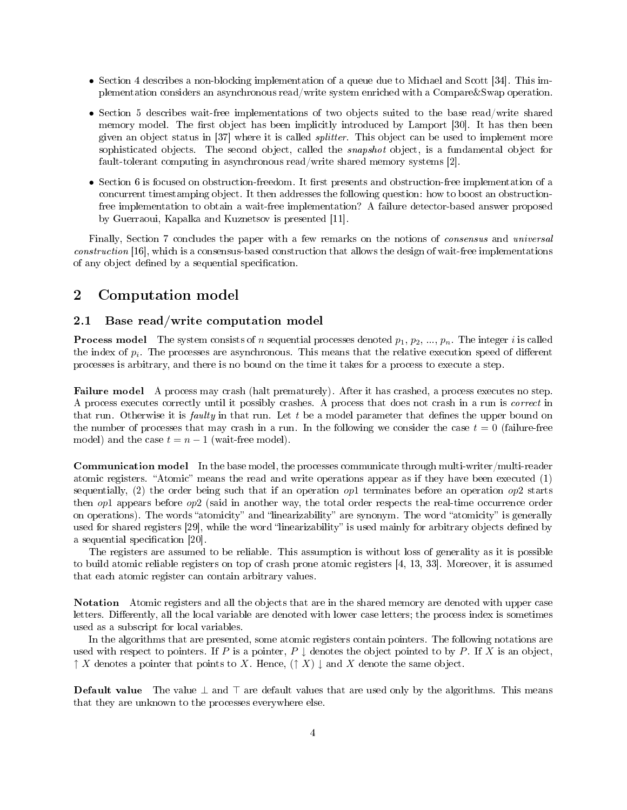- Section 4 describes a non-blocking implementation of a queue due to Michael and Scott [34]. This implementation considers an asynchronous read/write system enriched with a Compare&Swap operation.
- Section 5 describes wait-free implementations of two objects suited to the base read/write shared memory model. The first object has been implicitly introduced by Lamport [30]. It has then been given an object status in [37] where it is called splitter. This object can be used to implement more sophisticated objects. The second object, called the *snapshot* object, is a fundamental object for fault-tolerant computing in asynchronous read/write shared memory systems [2].
- Section 6 is focused on obstruction-freedom. It first presents and obstruction-free implementation of a concurrent timestamping object. It then addresses the following question: how to boost an obstructionfree implementation to obtain a wait-free implementation? A failure detector-based answer proposed by Guerraoui, Kapalka and Kuznetsov is presented [11].

Finally, Section 7 concludes the paper with a few remarks on the notions of consensus and universal construction [16], which is a consensus-based construction that allows the design of wait-free implementations of any object defined by a sequential specification.

## 2 Computation model

#### 2.1 Base read/write computation model

**Process model** The system consists of n sequential processes denoted  $p_1, p_2, ..., p_n$ . The integer i is called the index of  $p_i$ . The processes are asynchronous. This means that the relative execution speed of different processes is arbitrary, and there is no bound on the time it takes for a process to execute a step.

Failure model A process may crash (halt prematurely). After it has crashed, a process executes no step. A process executes correctly until it possibly crashes. A process that does not crash in a run is correct in that run. Otherwise it is *faulty* in that run. Let t be a model parameter that defines the upper bound on the number of processes that may crash in a run. In the following we consider the case  $t = 0$  (failure-free model) and the case  $t = n - 1$  (wait-free model).

Communication model In the base model, the processes communicate through multi-writer/multi-reader atomic registers. "Atomic" means the read and write operations appear as if they have been executed  $(1)$ sequentially, (2) the order being such that if an operation op1 terminates before an operation op2 starts then op1 appears before op2 (said in another way, the total order respects the real-time occurrence order on operations). The words "atomicity" and "linearizability" are synonym. The word "atomicity" is generally used for shared registers [29], while the word "linearizability" is used mainly for arbitrary objects defined by a sequential specification [20].

The registers are assumed to be reliable. This assumption is without loss of generality as it is possible to build atomic reliable registers on top of crash prone atomic registers [4, 13, 33]. Moreover, it is assumed that each atomic register can contain arbitrary values.

Notation Atomic registers and all the objects that are in the shared memory are denoted with upper case letters. Differently, all the local variable are denoted with lower case letters; the process index is sometimes used as a subscript for local variables.

In the algorithms that are presented, some atomic registers contain pointers. The following notations are used with respect to pointers. If P is a pointer,  $P \downarrow$  denotes the object pointed to by P. If X is an object,  $\uparrow X$  denotes a pointer that points to X. Hence,  $(\uparrow X) \downarrow$  and X denote the same object.

**Default value** The value  $\perp$  and  $\top$  are default values that are used only by the algorithms. This means that they are unknown to the processes everywhere else.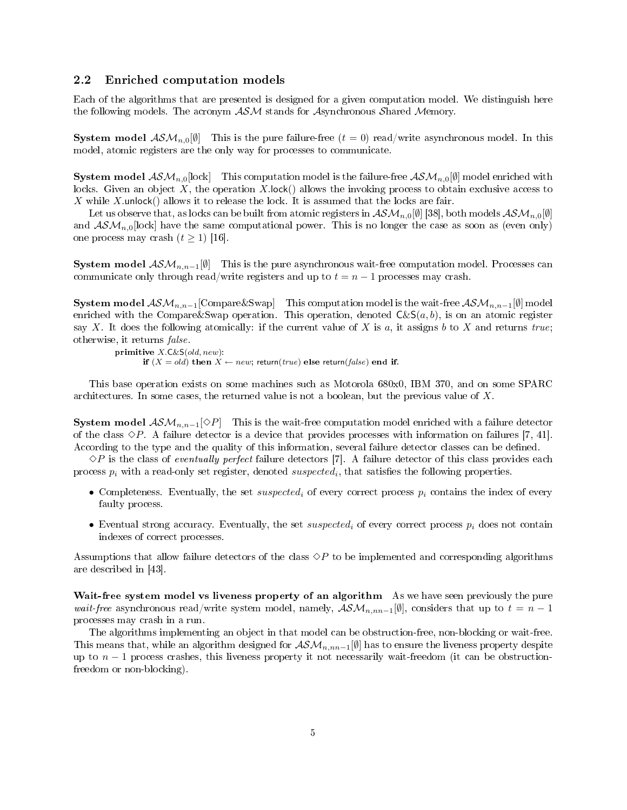#### 2.2 Enriched computation models

Each of the algorithms that are presented is designed for a given computation model. We distinguish here the following models. The acronym  $\mathcal{ASM}$  stands for  $\mathcal{A}$ synchronous  $\mathcal{S}$ hared  $\mathcal{M}$ emory.

**System model**  $ASM_{n,0}[\emptyset]$  This is the pure failure-free  $(t = 0)$  read/write asynchronous model. In this model, atomic registers are the only way for processes to communicate.

**System model**  $ASM_{n,0}[\text{lock}]$  This computation model is the failure-free  $ASM_{n,0}[\emptyset]$  model enriched with locks. Given an object  $X$ , the operation  $X$ .lock() allows the invoking process to obtain exclusive access to X while X.unlock() allows it to release the lock. It is assumed that the locks are fair.

Let us observe that, as locks can be built from atomic registers in  $\mathcal{ASM}_{n,0}[\emptyset]$  [38], both models  $\mathcal{ASM}_{n,0}[\emptyset]$ and  $\mathcal{ASM}_{n,0}[\text{lock}]$  have the same computational power. This is no longer the case as soon as (even only) one process may crash  $(t > 1)$  [16].

**System model**  $\mathcal{ASM}_{n,n-1}[\emptyset]$  This is the pure asynchronous wait-free computation model. Processes can communicate only through read/write registers and up to  $t = n - 1$  processes may crash.

System model  $\mathcal{ASM}_{n,n-1}[\text{Compare&Swap}]$  This computation model is the wait-free  $\mathcal{ASM}_{n,n-1}[\emptyset]$  model enriched with the Compare&Swap operation. This operation, denoted  $C&S(a, b)$ , is on an atomic register say X. It does the following atomically: if the current value of X is a, it assigns b to X and returns true; otherwise, it returns false.

primitive  $X.C\&S(old, new)$ : if  $(X = old)$  then  $X \leftarrow new$ ; return(true) else return(false) end if.

This base operation exists on some machines such as Motorola 680x0, IBM 370, and on some SPARC architectures. In some cases, the returned value is not a boolean, but the previous value of X.

**System model**  $\mathcal{ASM}_{n,n-1}[\diamondsuit P]$  This is the wait-free computation model enriched with a failure detector of the class  $\Diamond P$ . A failure detector is a device that provides processes with information on failures [7, 41]. According to the type and the quality of this information, several failure detector classes can be defined.

 $\Diamond P$  is the class of eventually perfect failure detectors [7]. A failure detector of this class provides each process  $p_i$  with a read-only set register, denoted suspected<sub>i</sub>, that satisfies the following properties.

- Completeness. Eventually, the set suspected<sub>i</sub> of every correct process  $p_i$  contains the index of every faulty process.
- Eventual strong accuracy. Eventually, the set suspected<sub>i</sub> of every correct process  $p_i$  does not contain indexes of correct processes.

Assumptions that allow failure detectors of the class  $\Diamond P$  to be implemented and corresponding algorithms are described in [43].

Wait-free system model vs liveness property of an algorithm As we have seen previously the pure wait-free asynchronous read/write system model, namely,  $\mathcal{A}SM_{n,nn-1}[\emptyset]$ , considers that up to  $t = n-1$ processes may crash in a run.

The algorithms implementing an object in that model can be obstruction-free, non-blocking or wait-free. This means that, while an algorithm designed for  $\mathcal{ASM}_{n,n,n-1}[\emptyset]$  has to ensure the liveness property despite up to  $n-1$  process crashes, this liveness property it not necessarily wait-freedom (it can be obstructionfreedom or non-blocking).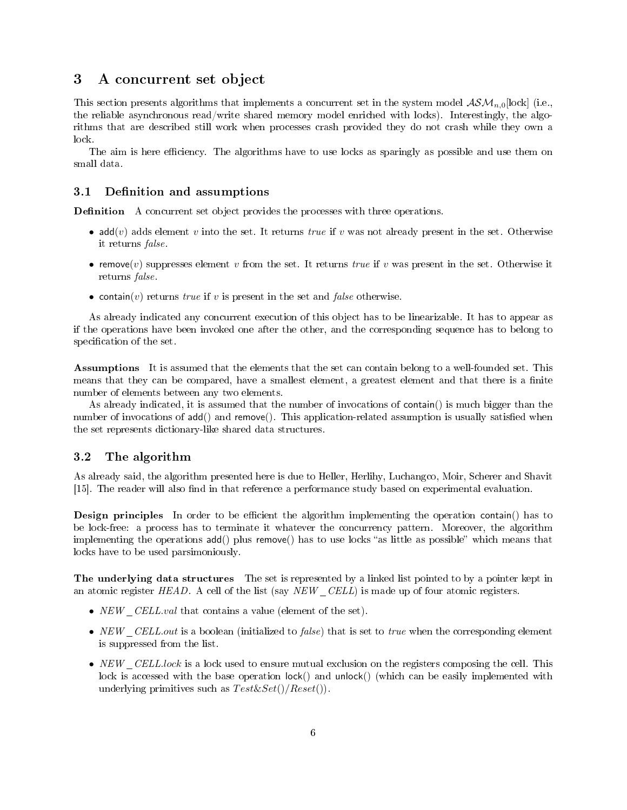## 3 A concurrent set object

This section presents algorithms that implements a concurrent set in the system model  $\mathcal{ASM}_{n,0}[\text{lock}]$  (i.e., the reliable asynchronous read/write shared memory model enriched with locks). Interestingly, the algorithms that are described still work when processes crash provided they do not crash while they own a lock.

The aim is here efficiency. The algorithms have to use locks as sparingly as possible and use them on small data.

#### 3.1 Definition and assumptions

**Definition** A concurrent set object provides the processes with three operations.

- add $(v)$  adds element v into the set. It returns true if v was not already present in the set. Otherwise it returns false.
- remove(v) suppresses element v from the set. It returns true if v was present in the set. Otherwise it returns false.
- contain(v) returns true if v is present in the set and false otherwise.

As already indicated any concurrent execution of this object has to be linearizable. It has to appear as if the operations have been invoked one after the other, and the corresponding sequence has to belong to specification of the set.

Assumptions It is assumed that the elements that the set can contain belong to a well-founded set. This means that they can be compared, have a smallest element, a greatest element and that there is a finite number of elements between any two elements.

As already indicated, it is assumed that the number of invocations of contain() is much bigger than the number of invocations of  $add()$  and remove $()$ . This application-related assumption is usually satisfied when the set represents dictionary-like shared data structures.

#### 3.2 The algorithm

As already said, the algorithm presented here is due to Heller, Herlihy, Luchangco, Moir, Scherer and Shavit [15]. The reader will also find in that reference a performance study based on experimental evaluation.

**Design principles** In order to be efficient the algorithm implementing the operation contain() has to be lock-free: a process has to terminate it whatever the concurrency pattern. Moreover, the algorithm implementing the operations  $add()$  plus remove() has to use locks "as little as possible" which means that locks have to be used parsimoniously.

The underlying data structures The set is represented by a linked list pointed to by a pointer kept in an atomic register HEAD. A cell of the list (say  $NEW$   $CELL$ ) is made up of four atomic registers.

- NEW CELL.val that contains a value (element of the set).
- NEW CELL.out is a boolean (initialized to false) that is set to true when the corresponding element is suppressed from the list.
- $NEW$  CELL.lock is a lock used to ensure mutual exclusion on the registers composing the cell. This lock is accessed with the base operation lock() and unlock() (which can be easily implemented with underlying primitives such as  $Test\&Set() / reset()$ .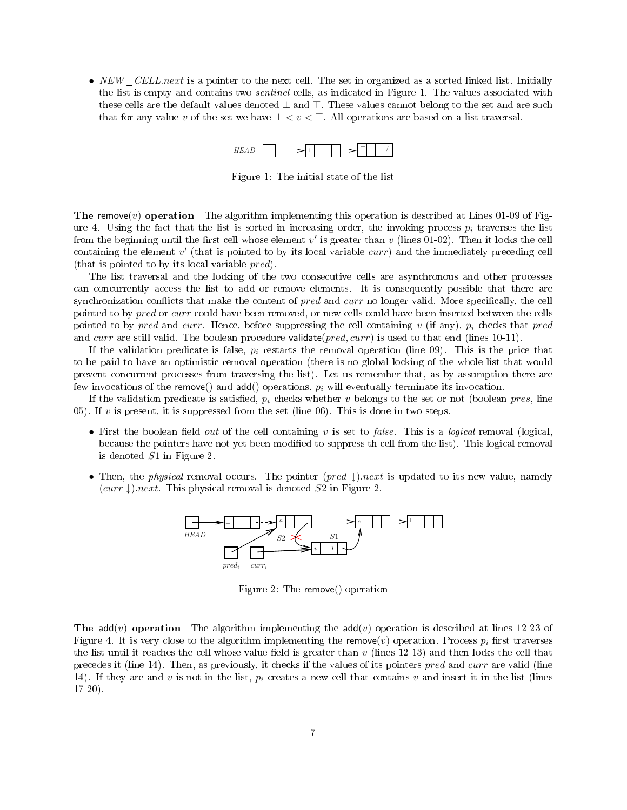• NEW CELL.next is a pointer to the next cell. The set in organized as a sorted linked list. Initially the list is empty and contains two sentinel cells, as indicated in Figure 1. The values associated with these cells are the default values denoted  $\perp$  and  $\perp$ . These values cannot belong to the set and are such that for any value v of the set we have  $\perp < v < \top$ . All operations are based on a list traversal.



Figure 1: The initial state of the list

**The remove** $(v)$  **operation** The algorithm implementing this operation is described at Lines 01-09 of Figure 4. Using the fact that the list is sorted in increasing order, the invoking process  $p_i$  traverses the list from the beginning until the first cell whose element  $v'$  is greater than  $v$  (lines 01-02). Then it locks the cell containing the element  $v'$  (that is pointed to by its local variable  $curr$ ) and the immediately preceding cell (that is pointed to by its local variable pred).

The list traversal and the locking of the two consecutive cells are asynchronous and other processes can concurrently access the list to add or remove elements. It is consequently possible that there are synchronization conflicts that make the content of  $pred$  and  $curr$  no longer valid. More specifically, the cell pointed to by *pred* or *curr* could have been removed, or new cells could have been inserted between the cells pointed to by pred and curr. Hence, before suppressing the cell containing v (if any),  $p_i$  checks that pred and curr are still valid. The boolean procedure validate( $pred, curr$ ) is used to that end (lines 10-11).

If the validation predicate is false,  $p_i$  restarts the removal operation (line 09). This is the price that to be paid to have an optimistic removal operation (there is no global locking of the whole list that would prevent concurrent processes from traversing the list). Let us remember that, as by assumption there are few invocations of the remove() and  $add()$  operations,  $p_i$  will eventually terminate its invocation.

If the validation predicate is satisfied,  $p_i$  checks whether v belongs to the set or not (boolean pres, line 05). If  $v$  is present, it is suppressed from the set (line 06). This is done in two steps.

- First the boolean field *out* of the cell containing v is set to *false*. This is a *logical* removal (logical, because the pointers have not yet been modied to suppress th cell from the list). This logical removal is denoted S1 in Figure 2.
- Then, the *physical* removal occurs. The pointer  $(pred \downarrow)$ .*next* is updated to its new value, namely  $(curr \text{ } \downarrow)$ .next. This physical removal is denoted  $S2$  in Figure 2.



Figure 2: The remove() operation

**The add(v) operation** The algorithm implementing the **add(v)** operation is described at lines 12-23 of Figure 4. It is very close to the algorithm implementing the remove(v) operation. Process  $p_i$  first traverses the list until it reaches the cell whose value field is greater than  $v$  (lines 12-13) and then locks the cell that precedes it (line 14). Then, as previously, it checks if the values of its pointers pred and curr are valid (line 14). If they are and v is not in the list,  $p_i$  creates a new cell that contains v and insert it in the list (lines 17-20).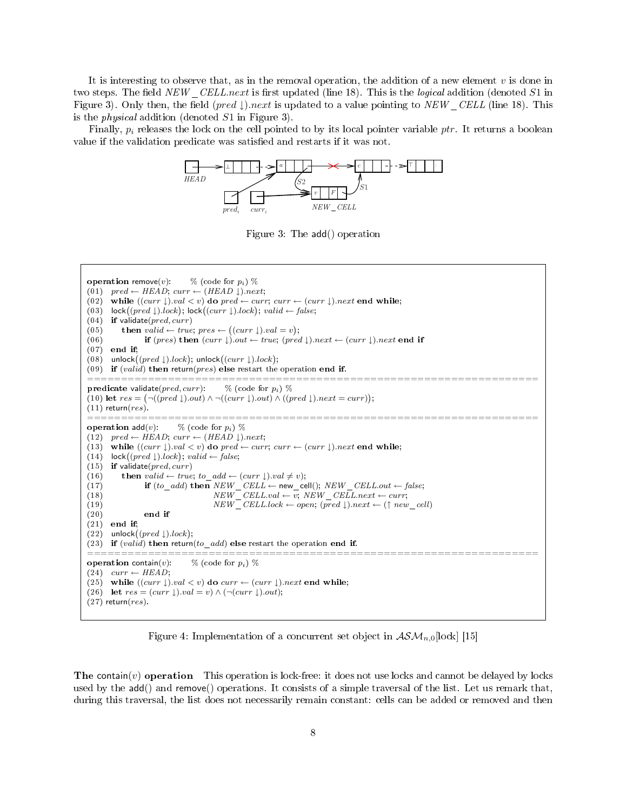It is interesting to observe that, as in the removal operation, the addition of a new element v is done in two steps. The field NEW CELL.next is first updated (line 18). This is the logical addition (denoted  $S1$  in Figure 3). Only then, the field  $(pred \downarrow)$ .next is updated to a value pointing to NEW CELL (line 18). This is the physical addition (denoted S1 in Figure 3).

Finally,  $p_i$  releases the lock on the cell pointed to by its local pointer variable ptr. It returns a boolean value if the validation predicate was satisfied and restarts if it was not.



Figure 3: The add() operation



Figure 4: Implementation of a concurrent set object in  $\mathcal{ASM}_{n,0}[\text{lock}]$  [15]

The contain(v) operation This operation is lock-free: it does not use locks and cannot be delayed by locks used by the add() and remove() operations. It consists of a simple traversal of the list. Let us remark that, during this traversal, the list does not necessarily remain constant: cells can be added or removed and then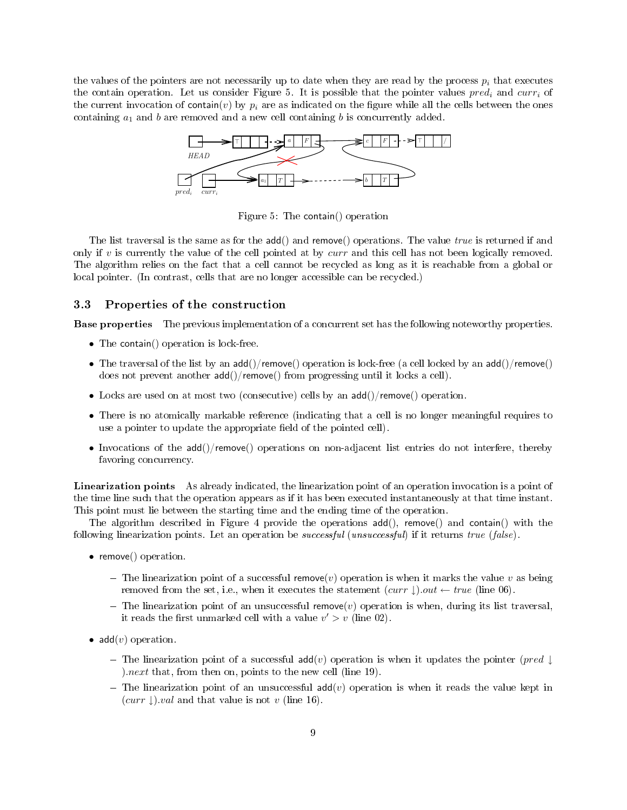the values of the pointers are not necessarily up to date when they are read by the process  $p_i$ , that executes the contain operation. Let us consider Figure 5. It is possible that the pointer values  $pred_i$  and  $curr_i$  of the current invocation of contain(v) by  $p_i$  are as indicated on the figure while all the cells between the ones containing  $a_1$  and b are removed and a new cell containing b is concurrently added.



Figure 5: The contain() operation

The list traversal is the same as for the  $add()$  and remove() operations. The value true is returned if and only if  $v$  is currently the value of the cell pointed at by *curr* and this cell has not been logically removed. The algorithm relies on the fact that a cell cannot be recycled as long as it is reachable from a global or local pointer. (In contrast, cells that are no longer accessible can be recycled.)

#### 3.3 Properties of the construction

Base properties The previous implementation of a concurrent set has the following noteworthy properties.

- The contain() operation is lock-free.
- The traversal of the list by an  $add()$ /remove() operation is lock-free (a cell locked by an  $add()$ /remove() does not prevent another add()/remove() from progressing until it locks a cell).
- Locks are used on at most two (consecutive) cells by an  $add()$ /remove() operation.
- There is no atomically markable reference (indicating that a cell is no longer meaningful requires to use a pointer to update the appropriate field of the pointed cell).
- Invocations of the  $add()$ /remove() operations on non-adjacent list entries do not interfere, thereby favoring concurrency.

Linearization points As already indicated, the linearization point of an operation invocation is a point of the time line such that the operation appears as if it has been executed instantaneously at that time instant. This point must lie between the starting time and the ending time of the operation.

The algorithm described in Figure 4 provide the operations  $add()$ , remove() and contain() with the following linearization points. Let an operation be *successful* (*unsuccessful*) if it returns true (*false*).

- remove() operation.
	- The linearization point of a successful remove(v) operation is when it marks the value v as being removed from the set, i.e., when it executes the statement  $(curr \downarrow).out \leftarrow true$  (line 06).
	- The linearization point of an unsuccessful remove(v) operation is when, during its list traversal, it reads the first unmarked cell with a value  $v' > v$  (line 02).
- add $(v)$  operation.
	- The linearization point of a successful  $add(v)$  operation is when it updates the pointer (pred  $\perp$ ).*next* that, from then on, points to the new cell (line 19).
	- The linearization point of an unsuccessful add(v) operation is when it reads the value kept in  $(curr \downarrow).val$  and that value is not v (line 16).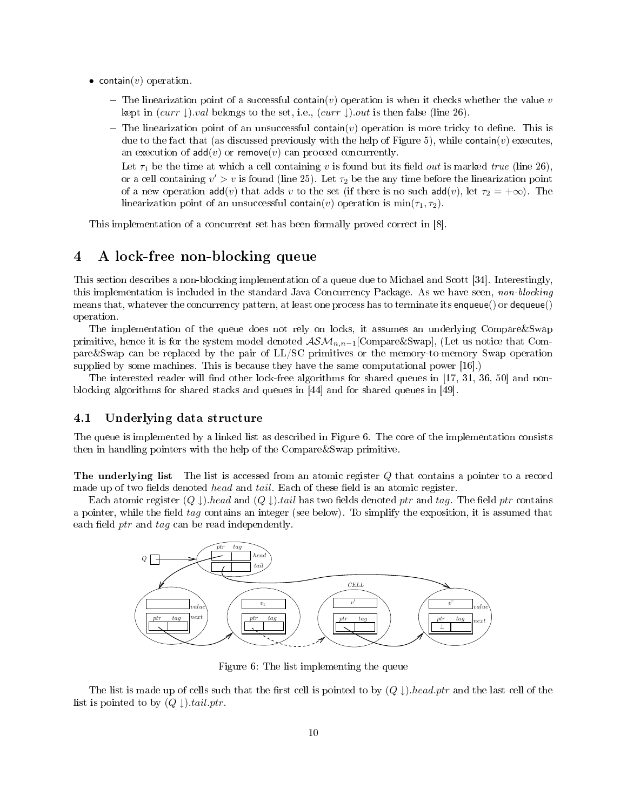- contain $(v)$  operation.
	- The linearization point of a successful contain(v) operation is when it checks whether the value v kept in  $curr \downarrow$ ).val belongs to the set, i.e.,  $curr \downarrow$ ).out is then false (line 26).
	- The linearization point of an unsuccessful contain(v) operation is more tricky to define. This is due to the fact that (as discussed previously with the help of Figure 5), while contain(v) executes, an execution of  $add(v)$  or remove(v) can proceed concurrently.

Let  $\tau_1$  be the time at which a cell containing v is found but its field *out* is marked true (line 26). or a cell containing  $v' > v$  is found (line 25). Let  $\tau_2$  be the any time before the linearization point of a new operation  $add(v)$  that adds v to the set (if there is no such  $add(v)$ , let  $\tau_2 = +\infty$ ). The linearization point of an unsuccessful contain(v) operation is  $min(\tau_1, \tau_2)$ .

This implementation of a concurrent set has been formally proved correct in [8].

### 4 A lock-free non-blocking queue

This section describes a non-blocking implementation of a queue due to Michael and Scott [34]. Interestingly, this implementation is included in the standard Java Concurrency Package. As we have seen, non-blocking means that, whatever the concurrency pattern, at least one process has to terminate its enqueue() or dequeue() operation.

The implementation of the queue does not rely on locks, it assumes an underlying Compare&Swap primitive, hence it is for the system model denoted  $\mathcal{ASM}_{n,n-1}[\text{Compare}\&\text{Swap}]\$ , (Let us notice that Compare&Swap can be replaced by the pair of LL/SC primitives or the memory-to-memory Swap operation supplied by some machines. This is because they have the same computational power [16].)

The interested reader will find other lock-free algorithms for shared queues in  $[17, 31, 36, 50]$  and nonblocking algorithms for shared stacks and queues in [44] and for shared queues in [49].

#### 4.1 Underlying data structure

The queue is implemented by a linked list as described in Figure 6. The core of the implementation consists then in handling pointers with the help of the Compare&Swap primitive.

The underlying list The list is accessed from an atomic register Q that contains a pointer to a record made up of two fields denoted *head* and tail. Each of these field is an atomic register.

Each atomic register  $(Q \downarrow)$ .head and  $(Q \downarrow)$ .tail has two fields denoted ptr and tag. The field ptr contains a pointer, while the field tag contains an integer (see below). To simplify the exposition, it is assumed that each field  $ptr$  and  $taq$  can be read independently.



Figure 6: The list implementing the queue

The list is made up of cells such that the first cell is pointed to by  $(Q \downarrow)$ . head.ptr and the last cell of the list is pointed to by  $(Q \downarrow) . tail. ptr$ .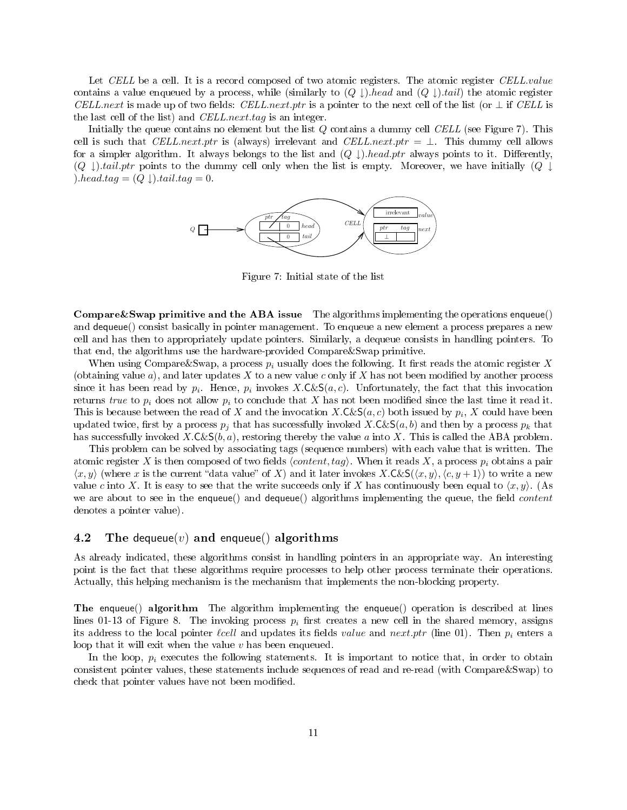Let CELL be a cell. It is a record composed of two atomic registers. The atomic register CELL.value contains a value enqueued by a process, while (similarly to  $(Q \downarrow)$ ).head and  $(Q \downarrow)$ ).tail) the atomic register CELL.next is made up of two fields: CELL.next.ptr is a pointer to the next cell of the list (or  $\perp$  if CELL is the last cell of the list) and *CELL.next.tag* is an integer.

Initially the queue contains no element but the list  $Q$  contains a dummy cell CELL (see Figure 7). This cell is such that CELL.next.ptr is (always) irrelevant and CELL.next.ptr =  $\perp$ . This dummy cell allows for a simpler algorithm. It always belongs to the list and  $(Q \downarrow)$ . head.ptr always points to it. Differently,  $(Q \downarrow).tail.pdf$  points to the dummy cell only when the list is empty. Moreover, we have initially  $(Q \downarrow)$ ).head.tag =  $(Q \downarrow)$ .tail.tag = 0.



Figure 7: Initial state of the list

**Compare&Swap primitive and the ABA issue** The algorithms implementing the operations enqueue() and dequeue() consist basically in pointer management. To enqueue a new element a process prepares a new cell and has then to appropriately update pointers. Similarly, a dequeue consists in handling pointers. To that end, the algorithms use the hardware-provided Compare&Swap primitive.

When using Compare&Swap, a process  $p_i$  usually does the following. It first reads the atomic register X (obtaining value  $a$ ), and later updates X to a new value c only if X has not been modified by another process since it has been read by  $p_i$ . Hence,  $p_i$  invokes  $X.C\&S(a, c)$ . Unfortunately, the fact that this invocation returns true to  $p_i$  does not allow  $p_i$  to conclude that X has not been modified since the last time it read it. This is because between the read of  $X$  and the invocation  $X.\mathsf{C\&S}(a,c)$  both issued by  $p_i,$   $X$  could have been updated twice, first by a process  $p_j$  that has successfully invoked X.C&S(a, b) and then by a process  $p_k$  that has successfully invoked  $X.C&S(b, a)$ , restoring thereby the value a into X. This is called the ABA problem.

This problem can be solved by associating tags (sequence numbers) with each value that is written. The atomic register X is then composed of two fields  $\langle content, tag \rangle$ . When it reads X, a process  $p_i$  obtains a pair  $\langle x, y \rangle$  (where x is the current "data value" of X) and it later invokes X.C&S( $\langle x, y \rangle$ ,  $\langle c, y + 1 \rangle$ ) to write a new value c into X. It is easy to see that the write succeeds only if X has continuously been equal to  $\langle x, y \rangle$ . (As we are about to see in the enqueue() and dequeue() algorithms implementing the queue, the field *content* denotes a pointer value).

#### 4.2 The dequeue(v) and enqueue() algorithms

As already indicated, these algorithms consist in handling pointers in an appropriate way. An interesting point is the fact that these algorithms require processes to help other process terminate their operations. Actually, this helping mechanism is the mechanism that implements the non-blocking property.

The enqueue() algorithm The algorithm implementing the enqueue() operation is described at lines lines 01-13 of Figure 8. The invoking process  $p_i$  first creates a new cell in the shared memory, assigns its address to the local pointer *cell* and updates its fields value and next.ptr (line 01). Then  $p_i$  enters a loop that it will exit when the value  $v$  has been enqueued.

In the loop,  $p_i$  executes the following statements. It is important to notice that, in order to obtain consistent pointer values, these statements include sequences of read and re-read (with Compare&Swap) to check that pointer values have not been modified.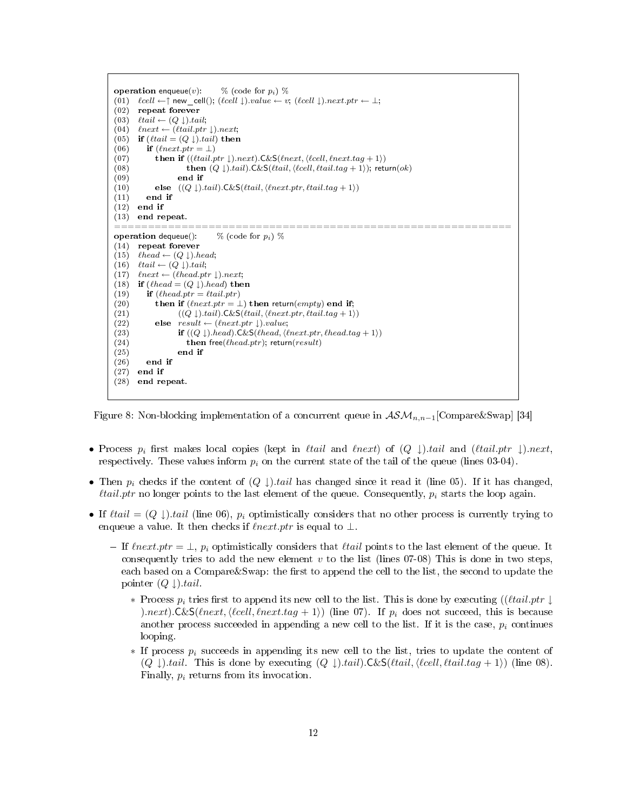

Figure 8: Non-blocking implementation of a concurrent queue in  $\mathcal{ASM}_{n,n-1}[\text{Compare}\&\text{Swap}]\; [34]$ 

- Process  $p_i$  first makes local copies (kept in *thail* and *thext*) of  $(Q \downarrow).tail$  and ( $\ell tail.ptr \downarrow).next$ , respectively. These values inform  $p_i$  on the current state of the tail of the queue (lines 03-04).
- Then  $p_i$  checks if the content of  $(Q_i)$ .tail has changed since it read it (line 05). If it has changed, *ttail.ptr* no longer points to the last element of the queue. Consequently,  $p_i$  starts the loop again.
- If  $\ell tail = (Q \downarrow).tail$  (line 06),  $p_i$  optimistically considers that no other process is currently trying to enqueue a value. It then checks if  $\ell next.ptr$  is equal to ⊥.
	- If  $\ell$ next.ptr = ⊥, p<sub>i</sub> optimistically considers that  $\ell tail$  points to the last element of the queue. It consequently tries to add the new element  $v$  to the list (lines 07-08) This is done in two steps, each based on a Compare  $\&$ Swap: the first to append the cell to the list, the second to update the pointer  $(Q \downarrow)$ .tail.
		- $∗$  Process  $p_i$  tries first to append its new cell to the list. This is done by executing (( $(\ell tail.pr \downarrow)$ ).next).C&S(lnext,  $\{lcell, \ell next.tag + 1\}$ ) (line 07). If  $p_i$  does not succeed, this is because another process succeeded in appending a new cell to the list. If it is the case,  $p_i$  continues looping.
		- $*$  If process  $p_i$  succeeds in appending its new cell to the list, tries to update the content of  $(Q \downarrow).tail.$  This is done by executing  $(Q \downarrow).tail.C\&S(Itail, \langle local, \ell tail.tag + 1 \rangle)$  (line 08). Finally,  $p_i$  returns from its invocation.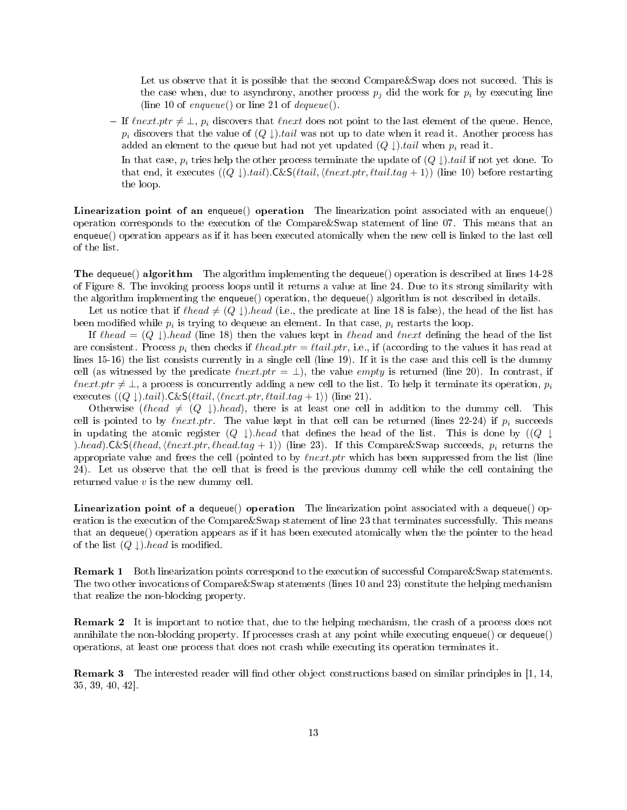Let us observe that it is possible that the second Compare&Swap does not succeed. This is the case when, due to asynchrony, another process  $p_i$  did the work for  $p_i$  by executing line (line 10 of *enqueue*() or line 21 of  $dequeue()$ .

If  $\ell$ next.ptr  $\neq \bot$ , p<sub>i</sub> discovers that  $\ell$ next does not point to the last element of the queue. Hence,  $p_i$  discovers that the value of  $(Q \downarrow)$ .tail was not up to date when it read it. Another process has added an element to the queue but had not yet updated  $(Q \downarrow)$ .tail when  $p_i$  read it.

In that case,  $p_i$  tries help the other process terminate the update of  $(Q \downarrow).tail$  if not yet done. To that end, it executes ((Q ↓).tail).C&S(`tail,h`next.ptr, `tail.tag + 1i) (line 10) before restarting the loop.

**Linearization point of an enqueue() operation** The linearization point associated with an enqueue() operation corresponds to the execution of the Compare&Swap statement of line 07. This means that an enqueue() operation appears as if it has been executed atomically when the new cell is linked to the last cell of the list.

The dequeue() algorithm The algorithm implementing the dequeue() operation is described at lines 14-28 of Figure 8. The invoking process loops until it returns a value at line 24. Due to its strong similarity with the algorithm implementing the enqueue() operation, the dequeue() algorithm is not described in details.

Let us notice that if  $\ell$ head  $\neq (Q \perp)$ .head (i.e., the predicate at line 18 is false), the head of the list has been modified while  $p_i$  is trying to dequeue an element. In that case,  $p_i$  restarts the loop.

If  $\ell$ head = (Q  $\downarrow$ ).head (line 18) then the values kept in  $\ell$ head and  $\ell$ next defining the head of the list are consistent. Process  $p_i$  then checks if  $\ell head.ptr = \ell tail.ptr$ , i.e., if (according to the values it has read at lines 15-16) the list consists currently in a single cell (line 19). If it is the case and this cell is the dummy cell (as witnessed by the predicate  $\ell next.ptr = \bot$ ), the value empty is returned (line 20). In contrast, if  $\ell next, ptr \neq \perp$ , a process is concurrently adding a new cell to the list. To help it terminate its operation,  $p_i$ executes  $((Q \downarrow).tail).C&S($  *(tail,*  $\langle$  *(next.ptr, ltail.tag* + 1)) (line 21).

Otherwise ( $\ell head \neq (Q \downarrow) \text{.} head$ ), there is at least one cell in addition to the dummy cell. This cell is pointed to by  $\ell next.ptr$ . The value kept in that cell can be returned (lines 22-24) if  $p_i$  succeeds in updating the atomic register  $(Q \downarrow)$ .head that defines the head of the list. This is done by  $((Q \downarrow$ ).head).C&S( $\ell$ head, $\langle$ lnext.ptr,  $\ell$ head.tag + 1)) (line 23). If this Compare&Swap succeeds,  $p_i$  returns the appropriate value and frees the cell (pointed to by  $\ell next.ptr$  which has been suppressed from the list (line 24). Let us observe that the cell that is freed is the previous dummy cell while the cell containing the returned value  $v$  is the new dummy cell.

Linearization point of a dequeue() operation The linearization point associated with a dequeue() operation is the execution of the Compare&Swap statement of line 23 that terminates successfully. This means that an dequeue() operation appears as if it has been executed atomically when the the pointer to the head of the list  $(Q \downarrow)$ .head is modified.

Remark 1 Both linearization points correspond to the execution of successful Compare&Swap statements. The two other invocations of Compare&Swap statements (lines 10 and 23) constitute the helping mechanism that realize the non-blocking property.

Remark 2 It is important to notice that, due to the helping mechanism, the crash of a process does not annihilate the non-blocking property. If processes crash at any point while executing enqueue() or dequeue() operations, at least one process that does not crash while executing its operation terminates it.

**Remark 3** The interested reader will find other object constructions based on similar principles in  $[1, 14, 14]$ 35, 39, 40, 42].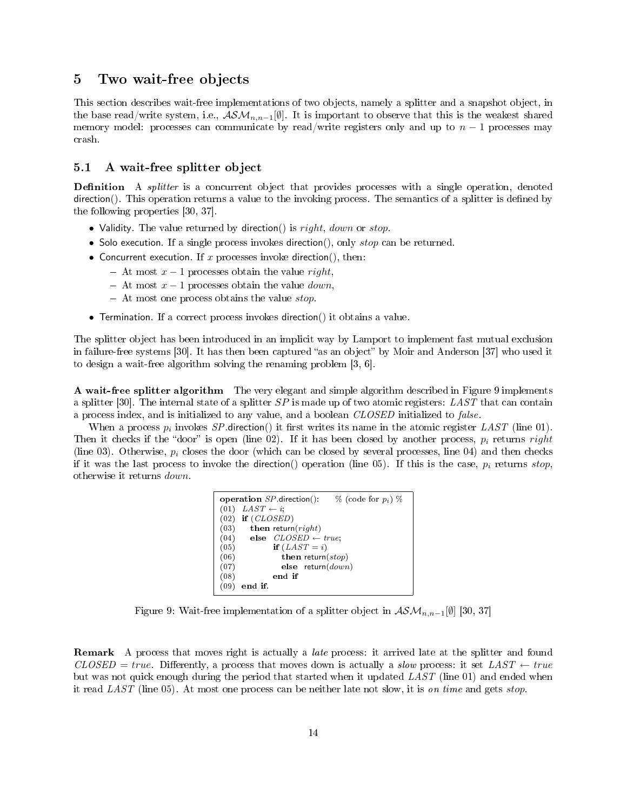## 5 Two wait-free objects

This section describes wait-free implementations of two objects, namely a splitter and a snapshot object, in the base read/write system, i.e.,  $\mathcal{ASM}_{n,n-1}[\emptyset]$ . It is important to observe that this is the weakest shared memory model: processes can communicate by read/write registers only and up to  $n-1$  processes may crash.

#### 5.1 A wait-free splitter object

**Definition** A *splitter* is a concurrent object that provides processes with a single operation, denoted direction(). This operation returns a value to the invoking process. The semantics of a splitter is defined by the following properties [30, 37].

- Validity. The value returned by direction() is  $right, down$  or stop.
- Solo execution. If a single process invokes direction(), only  $stop$  can be returned.
- Concurrent execution. If x processes invoke direction(), then:
	- $-$  At most  $x 1$  processes obtain the value *right*,
	- $-$  At most  $x 1$  processes obtain the value *down*,
	- $-$  At most one process obtains the value *stop*.
- Termination. If a correct process invokes direction() it obtains a value.

The splitter object has been introduced in an implicit way by Lamport to implement fast mutual exclusion in failure-free systems [30]. It has then been captured "as an object" by Moir and Anderson [37] who used it to design a wait-free algorithm solving the renaming problem [3, 6].

A wait-free splitter algorithm The very elegant and simple algorithm described in Figure 9 implements a splitter [30]. The internal state of a splitter  $SP$  is made up of two atomic registers: LAST that can contain a process index, and is initialized to any value, and a boolean CLOSED initialized to false.

When a process  $p_i$  invokes SP direction() it first writes its name in the atomic register LAST (line 01). Then it checks if the "door" is open (line 02). If it has been closed by another process,  $p_i$  returns right (line 03). Otherwise,  $p_i$  closes the door (which can be closed by several processes, line 04) and then checks if it was the last process to invoke the direction() operation (line 05). If this is the case,  $p_i$  returns stop. otherwise it returns down.

| $\%$ (code for $p_i$ ) $\%$<br>operation $SP$ direction(): |
|------------------------------------------------------------|
| $LAST \leftarrow i$<br>(01)                                |
| $(02)$ if $(CLOSED)$                                       |
| then return( $right)$ )<br>(03)                            |
| (04)<br>else $\text{CLOSED} \leftarrow \text{true}$        |
| if $(LAST = i)$<br>(05)                                    |
| then return(stop)<br>(06)                                  |
| else $return(down)$<br>(07)                                |
| (08)<br>end if                                             |
| end if.                                                    |

Figure 9: Wait-free implementation of a splitter object in  $\mathcal{ASM}_{n,n-1}[\emptyset]$  [30, 37]

**Remark** A process that moves right is actually a *late* process: it arrived late at the splitter and found  $\text{CLOSED} = \text{true}$ . Differently, a process that moves down is actually a slow process: it set  $\text{LAST} \leftarrow \text{true}$ . but was not quick enough during the period that started when it updated LAST (line 01) and ended when it read LAST (line 05). At most one process can be neither late not slow, it is on time and gets stop.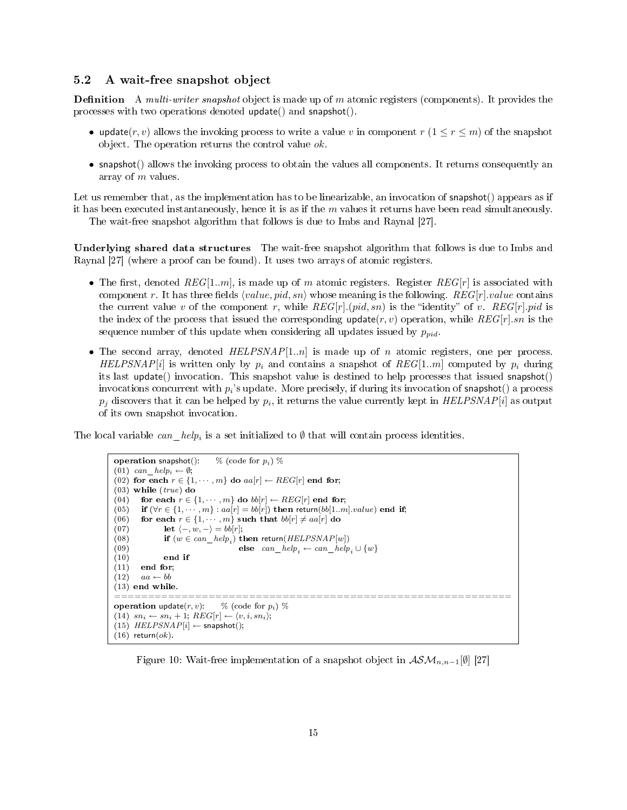#### 5.2 A wait-free snapshot object

**Definition** A *multi-writer snapshot* object is made up of m atomic registers (components). It provides the processes with two operations denoted update() and snapshot().

- update $(r, v)$  allows the invoking process to write a value v in component  $r$   $(1 \leq r \leq m)$  of the snapshot object. The operation returns the control value ok.
- snapshot() allows the invoking process to obtain the values all components. It returns consequently an array of m values.

Let us remember that, as the implementation has to be linearizable, an invocation of snapshot() appears as if it has been executed instantaneously, hence it is as if the  $m$  values it returns have been read simultaneously.

The wait-free snapshot algorithm that follows is due to Imbs and Raynal [27].

Underlying shared data structures The wait-free snapshot algorithm that follows is due to Imbs and Raynal [27] (where a proof can be found). It uses two arrays of atomic registers.

- The first, denoted  $REG[1..m]$ , is made up of m atomic registers. Register  $REG[r]$  is associated with component r. It has three fields  $\langle value, pid, sn \rangle$  whose meaning is the following. REG[r].value contains the current value v of the component r, while  $REG[r].(pid, sn)$  is the "identity" of v.  $REG[r].pid$  is the index of the process that issued the corresponding update $(r, v)$  operation, while  $REG[r].sn$  is the sequence number of this update when considering all updates issued by  $p_{pid}$ .
- The second array, denoted  $HELPSNAP[1..n]$  is made up of n atomic registers, one per process. HELPSNAP[i] is written only by  $p_i$  and contains a snapshot of REG[1..m] computed by  $p_i$  during its last update() invocation. This snapshot value is destined to help processes that issued snapshot() invocations concurrent with  $p_i's update. More precisely, if during its invocation of  ${\sf snapshot}()$  a process$  $p_j$  discovers that it can be helped by  $p_i$ , it returns the value currently kept in  $\emph{HELPSNAP}[i]$  as output of its own snapshot invocation.

The local variable  $can\_help_i$  is a set initialized to  $\emptyset$  that will contain process identities.

```
operation snapshot(): \% (code for p_i) \%(01) can_{helpi} \leftarrow \emptyset;(02) for each r \in \{1, \dots, m\} do aa[r] \leftarrow REG[r] end for;
(03) while (true) do
(04) for each r \in \{1, \dots, m\} do bb[r] \leftarrow REG[r] end for;
(05) if (\forall r \in \{1, \dots, m\} : aa[r] = bb[r]) then return(bb[1..m].value) end if;<br>(06) for each r \in \{1, \dots, m\} such that bb[r] \neq aa[r] do
        for each r \in \{1, \dots, m\} such that bb[r] \neq aa[r] do
(07) let \langle -, w, - \rangle = bb[r];<br>(08) if (w \in can \, \, \text{beln.}) t
(08) if (w \in can\_help_i) then return(HELPSNAP[w])
(09) end if else can\_help_i \leftarrow can\_help_i \cup \{w\}<br>(10) end if
(10) end if (11) end for:
        end for;
(12) aa \leftarrow bb(13) end while.
===========================================================
operation update(r, v):
(14) sn_i \leftarrow sn_i + 1; REG[r] \leftarrow \langle v, i, sn_i \rangle;
(15) HELPSNAP[i] \leftarrow snapshot();
(16) return(ok).
```
Figure 10: Wait-free implementation of a snapshot object in  $\mathcal{ASM}_{n,n-1}[\emptyset]$  [27]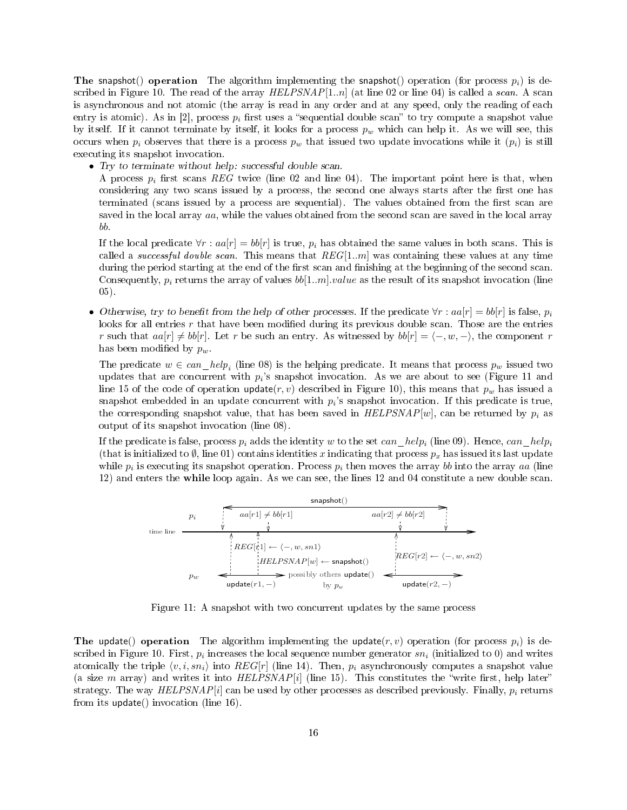**The snapshot() operation** The algorithm implementing the **snapshot()** operation (for process  $p_i$ ) is described in Figure 10. The read of the array  $HELPSNAP[1..n]$  (at line 02 or line 04) is called a scan. A scan is asynchronous and not atomic (the array is read in any order and at any speed, only the reading of each entry is atomic). As in [2], process  $p_i$  first uses a "sequential double scan" to try compute a snapshot value by itself. If it cannot terminate by itself, it looks for a process  $p_w$  which can help it. As we will see, this occurs when  $p_i$  observes that there is a process  $p_w$  that issued two update invocations while it  $(p_i)$  is still executing its snapshot invocation.

• Try to terminate without help: successful double scan.

A process  $p_i$  first scans REG twice (line 02 and line 04). The important point here is that, when considering any two scans issued by a process, the second one always starts after the first one has terminated (scans issued by a process are sequential). The values obtained from the first scan are saved in the local array aa, while the values obtained from the second scan are saved in the local array bb.

If the local predicate  $\forall r : a a[r] = bb[r]$  is true,  $p_i$  has obtained the same values in both scans. This is called a successful double scan. This means that  $REG[1..m]$  was containing these values at any time during the period starting at the end of the first scan and finishing at the beginning of the second scan. Consequently,  $p_i$  returns the array of values  $bb[1..m].value$  as the result of its snapshot invocation (line 05).

• Otherwise, try to benefit from the help of other processes. If the predicate  $\forall r : aa[r] = bb[r]$  is false,  $p_i$ looks for all entries  $r$  that have been modified during its previous double scan. Those are the entries r such that  $aa[r] \neq bb[r]$ . Let r be such an entry. As witnessed by  $bb[r] = \langle -, w, - \rangle$ , the component r has been modified by  $p_w$ .

The predicate  $w \in can\_help_i$  (line 08) is the helping predicate. It means that process  $p_w$  issued two updates that are concurrent with  $p_i$ 's snapshot invocation. As we are about to see (Figure 11 and line 15 of the code of operation update(r, v) described in Figure 10), this means that  $p_w$  has issued a snapshot embedded in an update concurrent with  $p_i$ 's snapshot invocation. If this predicate is true, the corresponding snapshot value, that has been saved in  $HELPSNAP[w]$ , can be returned by  $p_i$  as output of its snapshot invocation (line 08).

If the predicate is false, process  $p_i$  adds the identity w to the set can help<sub>i</sub> (line 09). Hence, can help<sub>i</sub> (that is initialized to  $\emptyset$ , line 01) contains identities x indicating that process  $p_x$  has issued its last update while  $p_i$  is executing its snapshot operation. Process  $p_i$  then moves the array  $bb$  into the array  $aa$  (line 12) and enters the while loop again. As we can see, the lines 12 and 04 constitute a new double scan.



Figure 11: A snapshot with two concurrent updates by the same process

**The update() operation** The algorithm implementing the update(r, v) operation (for process  $p_i$ ) is described in Figure 10. First,  $p_i$  increases the local sequence number generator  $sn_i$  (initialized to 0) and writes atomically the triple  $\langle v, i, sn_i \rangle$  into REG[r] (line 14). Then,  $p_i$  asynchronously computes a snapshot value (a size m array) and writes it into  $HELPSNAP[i]$  (line 15). This constitutes the "write first, help later" strategy. The way  $HELPSNAP[i]$  can be used by other processes as described previously. Finally,  $p_i$  returns from its update() invocation (line 16).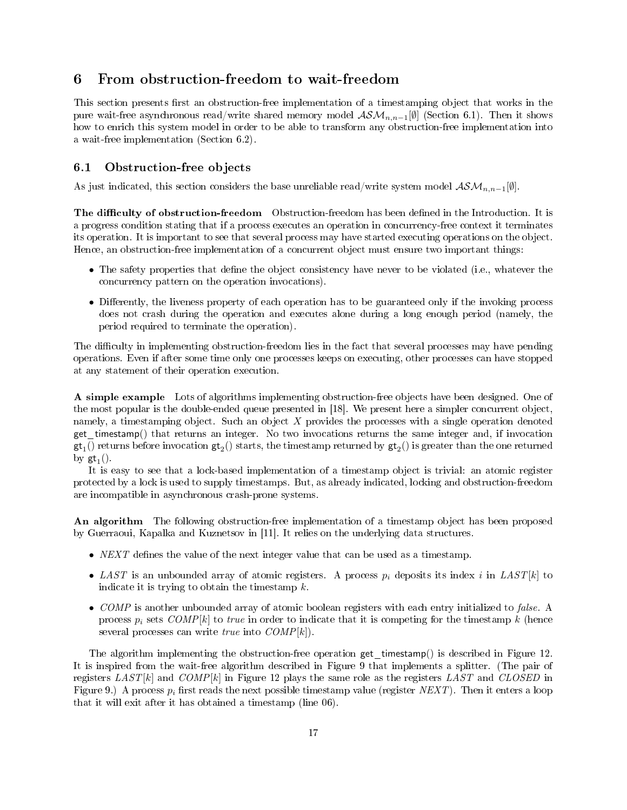### 6 From obstruction-freedom to wait-freedom

This section presents first an obstruction-free implementation of a timestamping object that works in the pure wait-free asynchronous read/write shared memory model  $\mathcal{ASM}_{n,n-1}[\emptyset]$  (Section 6.1). Then it shows how to enrich this system model in order to be able to transform any obstruction-free implementation into a wait-free implementation (Section 6.2).

#### 6.1 Obstruction-free objects

As just indicated, this section considers the base unreliable read/write system model  $\mathcal{ASM}_{n,n-1}[\emptyset]$ .

The difficulty of obstruction-freedom Obstruction-freedom has been defined in the Introduction. It is a progress condition stating that if a process executes an operation in concurrency-free context it terminates its operation. It is important to see that several process may have started executing operations on the object. Hence, an obstruction-free implementation of a concurrent object must ensure two important things:

- The safety properties that define the object consistency have never to be violated (i.e., whatever the concurrency pattern on the operation invocations).
- Differently, the liveness property of each operation has to be guaranteed only if the invoking process does not crash during the operation and executes alone during a long enough period (namely, the period required to terminate the operation).

The difficulty in implementing obstruction-freedom lies in the fact that several processes may have pending operations. Even if after some time only one processes keeps on executing, other processes can have stopped at any statement of their operation execution.

A simple example Lots of algorithms implementing obstruction-free objects have been designed. One of the most popular is the double-ended queue presented in [18]. We present here a simpler concurrent object, namely, a timestamping object. Such an object X provides the processes with a single operation denoted get timestamp() that returns an integer. No two invocations returns the same integer and, if invocation  $\mathsf{gt}_1()$  returns before invocation  $\mathsf{gt}_2()$  starts, the timestamp returned by  $\mathsf{gt}_2()$  is greater than the one returned by  $gt_1()$ .

It is easy to see that a lock-based implementation of a timestamp object is trivial: an atomic register protected by a lock is used to supply timestamps. But, as already indicated, locking and obstruction-freedom are incompatible in asynchronous crash-prone systems.

An algorithm The following obstruction-free implementation of a timestamp object has been proposed by Guerraoui, Kapalka and Kuznetsov in [11]. It relies on the underlying data structures.

- $NEXT$  defines the value of the next integer value that can be used as a timestamp.
- LAST is an unbounded array of atomic registers. A process  $p_i$  deposits its index i in LAST[k] to indicate it is trying to obtain the timestamp  $k$ .
- COMP is another unbounded array of atomic boolean registers with each entry initialized to false. A process  $p_i$  sets  $COMP[k]$  to true in order to indicate that it is competing for the timestamp k (hence several processes can write *true* into  $COMP[k]$ .

The algorithm implementing the obstruction-free operation get timestamp() is described in Figure 12. It is inspired from the wait-free algorithm described in Figure 9 that implements a splitter. (The pair of registers  $LAST[k]$  and  $COMP[k]$  in Figure 12 plays the same role as the registers  $LAST$  and  $CLOSED$  in Figure 9.) A process  $p_i$  first reads the next possible timestamp value (register NEXT). Then it enters a loop that it will exit after it has obtained a timestamp (line 06).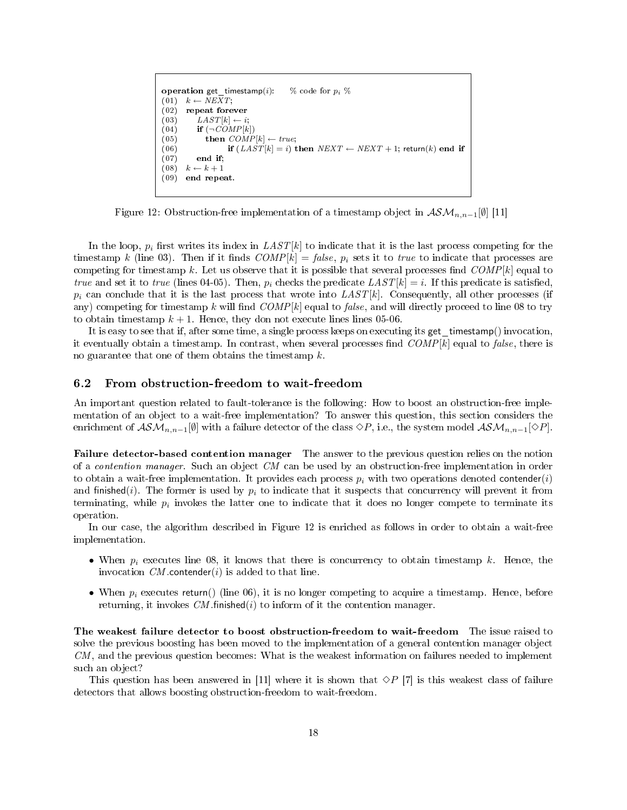```
operation get timestamp(i): % code for p_i %
(01) k \leftarrow NEXT:
(02) repeat forever
(LAST[k] \leftarrow i;(04) if (\neg COMP[k])(05) then COMP[k] \leftarrow true;(06) if (LAST[k] = i) then NEXT \leftarrow NEXT + 1; return(k) end if
(07) end if;
(08) k \leftarrow k + 1(09) end repeat.
```
Figure 12: Obstruction-free implementation of a timestamp object in  $\mathcal{ASM}_{n,n-1}[\emptyset]$  [11]

In the loop,  $p_i$  first writes its index in  $LAST[k]$  to indicate that it is the last process competing for the timestamp k (line 03). Then if it finds  $COMP[k] = false, p_i$  sets it to *true* to indicate that processes are competing for timestamp k. Let us observe that it is possible that several processes find  $COMP[k]$  equal to true and set it to true (lines 04-05). Then,  $p_i$  checks the predicate  $LAST[k] = i$ . If this predicate is satisfied,  $p_i$  can conclude that it is the last process that wrote into  $LAST[k]$ . Consequently, all other processes (if any) competing for timestamp k will find  $COMP[k]$  equal to false, and will directly proceed to line 08 to try to obtain timestamp  $k + 1$ . Hence, they don not execute lines lines 05-06.

It is easy to see that if, after some time, a single process keeps on executing its get\_timestamp() invocation, it eventually obtain a timestamp. In contrast, when several processes find  $COMP[k]$  equal to false, there is no guarantee that one of them obtains the timestamp  $k$ .

#### 6.2 From obstruction-freedom to wait-freedom

An important question related to fault-tolerance is the following: How to boost an obstruction-free implementation of an object to a wait-free implementation? To answer this question, this section considers the enrichment of  $\mathcal{ASM}_{n,n-1}[\emptyset]$  with a failure detector of the class  $\diamond P$ , i.e., the system model  $\mathcal{ASM}_{n,n-1}[\diamond P]$ .

Failure detector-based contention manager The answer to the previous question relies on the notion of a contention manager. Such an object CM can be used by an obstruction-free implementation in order to obtain a wait-free implementation. It provides each process  $p_i$  with two operations denoted contender(i) and finished(i). The former is used by  $p_i$  to indicate that it suspects that concurrency will prevent it from terminating, while  $p_i$  invokes the latter one to indicate that it does no longer compete to terminate its operation.

In our case, the algorithm described in Figure 12 is enriched as follows in order to obtain a wait-free implementation.

- When  $p_i$  executes line 08, it knows that there is concurrency to obtain timestamp k. Hence, the invocation  $CM$  contender(i) is added to that line.
- When  $p_i$  executes return() (line 06), it is no longer competing to acquire a timestamp. Hence, before returning, it invokes  $CM$  finished $(i)$  to inform of it the contention manager.

The weakest failure detector to boost obstruction-freedom to wait-freedom The issue raised to solve the previous boosting has been moved to the implementation of a general contention manager object CM , and the previous question becomes: What is the weakest information on failures needed to implement such an object?

This question has been answered in [11] where it is shown that  $\Diamond P$  [7] is this weakest class of failure detectors that allows boosting obstruction-freedom to wait-freedom.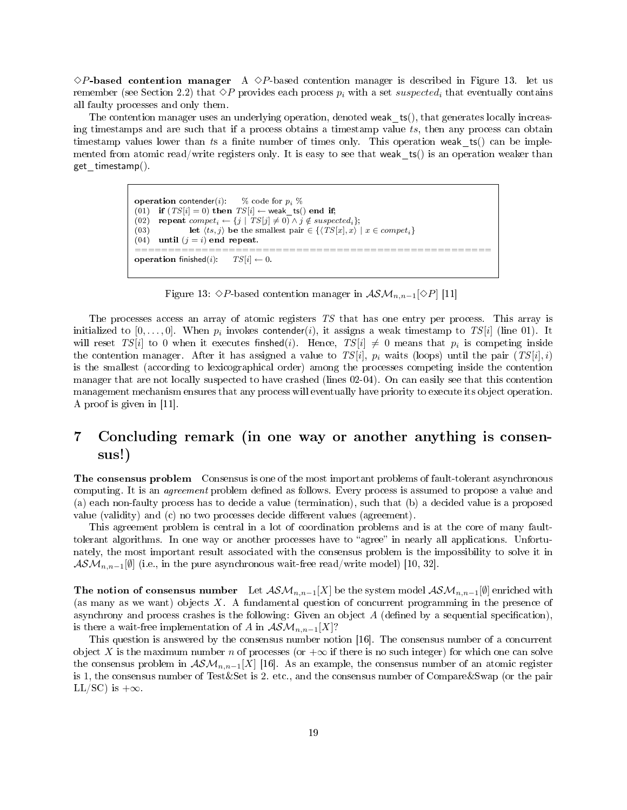$\Diamond P$ -based contention manager A  $\Diamond P$ -based contention manager is described in Figure 13. let us remember (see Section 2.2) that  $\Diamond P$  provides each process  $p_i$  with a set suspected<sub>i</sub> that eventually contains all faulty processes and only them.

The contention manager uses an underlying operation, denoted weak\_ts(), that generates locally increasing timestamps and are such that if a process obtains a timestamp value ts, then any process can obtain timestamp values lower than ts a finite number of times only. This operation weak  $ts()$  can be implemented from atomic read/write registers only. It is easy to see that weak  $\mathsf{ts}$ () is an operation weaker than get  $timestamp()$ .

> **operation contender**(*i*): % code for  $p_i$  % (01) if  $(TS[i] = 0)$  then  $TS[i] \leftarrow \text{weak\_ts}()$  end if; (02) repeat  $\text{compact}_{i} \leftarrow \{j \mid TS[j] \neq 0 \} \wedge j \notin suspected_i\};$ (03) let  $\langle ts, j \rangle$  be the smallest pair  $\in \{ \langle TS[x], x \rangle \mid x \in \text{compact}_i \}$ (04) until  $(j = i)$  end repeat. ===================================================== operation finished(i):  $TS[i] \leftarrow 0$ .

Figure 13:  $\diamond P$ -based contention manager in  $\mathcal{ASM}_{n,n-1}[\diamond P]$  [11]

The processes access an array of atomic registers TS that has one entry per process. This array is initialized to  $[0,\ldots,0]$ . When  $p_i$  invokes  ${\sf contenter}(i),$  it assigns a weak timestamp to  $TS[i]$  (line  $01).$  It will reset  $TS[i]$  to 0 when it executes finshed(i). Hence,  $TS[i] \neq 0$  means that  $p_i$  is competing inside the contention manager. After it has assigned a value to  $TS[i], p_i$  waits (loops) until the pair  $(TS[i], i)$ is the smallest (according to lexicographical order) among the processes competing inside the contention manager that are not locally suspected to have crashed (lines 02-04). On can easily see that this contention management mechanism ensures that any process will eventually have priority to execute its object operation. A proof is given in [11].

## 7 Concluding remark (in one way or another anything is consensus!)

The consensus problem Consensus is one of the most important problems of fault-tolerant asynchronous computing. It is an *agreement* problem defined as follows. Every process is assumed to propose a value and (a) each non-faulty process has to decide a value (termination), such that (b) a decided value is a proposed value (validity) and  $(c)$  no two processes decide different values (agreement).

This agreement problem is central in a lot of coordination problems and is at the core of many faulttolerant algorithms. In one way or another processes have to "agree" in nearly all applications. Unfortunately, the most important result associated with the consensus problem is the impossibility to solve it in  $\mathcal{ASM}_{n,n-1}[\emptyset]$  (i.e., in the pure asynchronous wait-free read/write model) [10, 32].

The notion of consensus number Let  $\mathcal{ASM}_{n,n-1}[X]$  be the system model  $\mathcal{ASM}_{n,n-1}[\emptyset]$  enriched with (as many as we want) objects X. A fundamental question of concurrent programming in the presence of asynchrony and process crashes is the following: Given an object  $A$  (defined by a sequential specification), is there a wait-free implementation of A in  $\mathcal{ASM}_{n,n-1}[X]$ ?

This question is answered by the consensus number notion [16]. The consensus number of a concurrent object X is the maximum number n of processes (or  $+\infty$  if there is no such integer) for which one can solve the consensus problem in  $\mathcal{ASM}_{n,n-1}[X]$  [16]. As an example, the consensus number of an atomic register is 1, the consensus number of Test&Set is 2. etc., and the consensus number of Compare&Swap (or the pair LL/SC) is  $+\infty$ .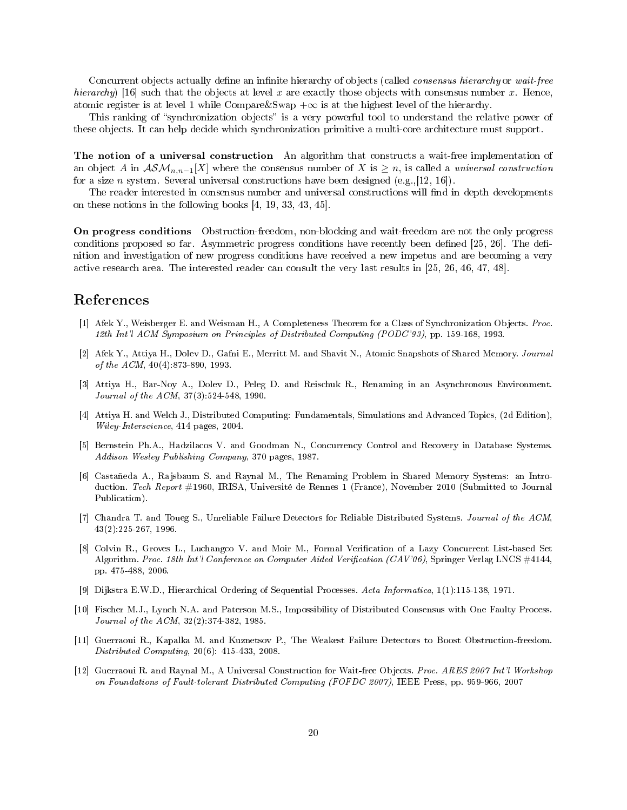Concurrent objects actually define an infinite hierarchy of objects (called *consensus hierarchy* or *wait-free* hierarchy) [16] such that the objects at level x are exactly those objects with consensus number x. Hence, atomic register is at level 1 while Compare&Swap  $+\infty$  is at the highest level of the hierarchy.

This ranking of "synchronization objects" is a very powerful tool to understand the relative power of these objects. It can help decide which synchronization primitive a multi-core architecture must support.

The notion of a universal construction An algorithm that constructs a wait-free implementation of an object A in  $\mathcal{AM}_{n,n-1}[X]$  where the consensus number of X is  $\geq n$ , is called a universal construction for a size *n* system. Several universal constructions have been designed (e.g., [12, 16]).

The reader interested in consensus number and universal constructions will find in depth developments on these notions in the following books [4, 19, 33, 43, 45].

On progress conditions Obstruction-freedom, non-blocking and wait-freedom are not the only progress conditions proposed so far. Asymmetric progress conditions have recently been defined [25, 26]. The definition and investigation of new progress conditions have received a new impetus and are becoming a very active research area. The interested reader can consult the very last results in [25, 26, 46, 47, 48].

## References

- [1] Afek Y., Weisberger E. and Weisman H., A Completeness Theorem for a Class of Synchronization Objects. Proc. 12th Int'l ACM Symposium on Principles of Distributed Computing (PODC'93), pp. 159-168, 1993.
- [2] Afek Y., Attiya H., Dolev D., Gafni E., Merritt M. and Shavit N., Atomic Snapshots of Shared Memory. Journal of the ACM, 40(4):873-890, 1993.
- [3] Attiya H., Bar-Noy A., Dolev D., Peleg D. and Reischuk R., Renaming in an Asynchronous Environment. Journal of the ACM, 37(3):524-548, 1990.
- [4] Attiya H. and Welch J., Distributed Computing: Fundamentals, Simulations and Advanced Topics, (2d Edition), Wiley-Interscience, 414 pages, 2004.
- [5] Bernstein Ph.A., Hadzilacos V. and Goodman N., Concurrency Control and Recovery in Database Systems. Addison Wesley Publishing Company, 370 pages, 1987.
- [6] Castañeda A., Rajsbaum S. and Raynal M., The Renaming Problem in Shared Memory Systems: an Introduction. Tech Report #1960, IRISA, Université de Rennes 1 (France), November 2010 (Submitted to Journal Publication).
- [7] Chandra T. and Toueg S., Unreliable Failure Detectors for Reliable Distributed Systems. Journal of the ACM, 43(2):225-267, 1996.
- [8] Colvin R., Groves L., Luchangco V. and Moir M., Formal Verification of a Lazy Concurrent List-based Set Algorithm. Proc. 18th Int'l Conference on Computer Aided Verification  $(CAV'06)$ , Springer Verlag LNCS #4144, pp. 475-488, 2006.
- [9] Dijkstra E.W.D., Hierarchical Ordering of Sequential Processes. Acta Informatica, 1(1):115-138, 1971.
- [10] Fischer M.J., Lynch N.A. and Paterson M.S., Impossibility of Distributed Consensus with One Faulty Process. Journal of the ACM, 32(2):374-382, 1985.
- [11] Guerraoui R., Kapalka M. and Kuznetsov P., The Weakest Failure Detectors to Boost Obstruction-freedom. Distributed Computing, 20(6): 415-433, 2008.
- [12] Guerraoui R. and Raynal M., A Universal Construction for Wait-free Objects. Proc. ARES 2007 Int'l Workshop on Foundations of Fault-tolerant Distributed Computing (FOFDC 2007), IEEE Press, pp. 959-966, 2007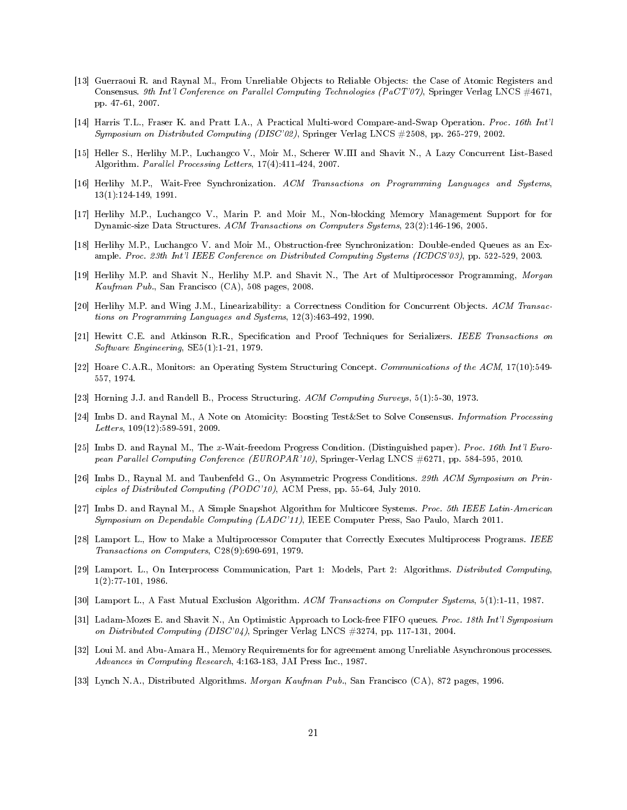- [13] Guerraoui R. and Raynal M., From Unreliable Objects to Reliable Objects: the Case of Atomic Registers and Consensus. 9th Int'l Conference on Parallel Computing Technologies (PaCT'07), Springer Verlag LNCS  $\#4671$ , pp. 47-61, 2007.
- [14] Harris T.L., Fraser K. and Pratt I.A., A Practical Multi-word Compare-and-Swap Operation. Proc. 16th Int'l Symposium on Distributed Computing (DISC'02), Springer Verlag LNCS #2508, pp. 265-279, 2002.
- [15] Heller S., Herlihy M.P., Luchangco V., Moir M., Scherer W.III and Shavit N., A Lazy Concurrent List-Based Algorithm. Parallel Processing Letters, 17(4):411-424, 2007.
- [16] Herlihy M.P., Wait-Free Synchronization. ACM Transactions on Programming Languages and Systems, 13(1):124-149, 1991.
- [17] Herlihy M.P., Luchangco V., Marin P. and Moir M., Non-blocking Memory Management Support for for Dynamic-size Data Structures. ACM Transactions on Computers Systems, 23(2):146-196, 2005.
- [18] Herlihy M.P., Luchangco V. and Moir M., Obstruction-free Synchronization: Double-ended Queues as an Example. Proc. 23th Int'l IEEE Conference on Distributed Computing Systems (ICDCS'03), pp. 522-529, 2003.
- [19] Herlihy M.P. and Shavit N., Herlihy M.P. and Shavit N., The Art of Multiprocessor Programming, Morgan Kaufman Pub., San Francisco (CA), 508 pages, 2008.
- [20] Herlihy M.P. and Wing J.M., Linearizability: a Correctness Condition for Concurrent Objects. ACM Transactions on Programming Languages and Systems, 12(3):463-492, 1990.
- [21] Hewitt C.E. and Atkinson R.R., Specification and Proof Techniques for Serializers. IEEE Transactions on Software Engineering, SE5(1):1-21, 1979.
- [22] Hoare C.A.R., Monitors: an Operating System Structuring Concept. Communications of the ACM, 17(10):549- 557, 1974.
- [23] Horning J.J. and Randell B., Process Structuring. ACM Computing Surveys, 5(1):5-30, 1973.
- [24] Imbs D. and Raynal M., A Note on Atomicity: Boosting Test&Set to Solve Consensus. Information Processing Letters, 109(12):589-591, 2009.
- [25] Imbs D. and Raynal M., The x-Wait-freedom Progress Condition. (Distinguished paper). Proc. 16th Int'l European Parallel Computing Conference (EUROPAR'10), Springer-Verlag LNCS #6271, pp. 584-595, 2010.
- [26] Imbs D., Raynal M. and Taubenfeld G., On Asymmetric Progress Conditions. 29th ACM Symposium on Principles of Distributed Computing (PODC'10), ACM Press, pp. 55-64, July 2010.
- [27] Imbs D. and Raynal M., A Simple Snapshot Algorithm for Multicore Systems. Proc. 5th IEEE Latin-American Symposium on Dependable Computing (LADC'11), IEEE Computer Press, Sao Paulo, March 2011.
- [28] Lamport L., How to Make a Multiprocessor Computer that Correctly Executes Multiprocess Programs. IEEE Transactions on Computers, C28(9):690-691, 1979.
- [29] Lamport. L., On Interprocess Communication, Part 1: Models, Part 2: Algorithms. Distributed Computing, 1(2):77-101, 1986.
- [30] Lamport L., A Fast Mutual Exclusion Algorithm. ACM Transactions on Computer Systems, 5(1):1-11, 1987.
- [31] Ladam-Mozes E. and Shavit N., An Optimistic Approach to Lock-free FIFO queues. Proc. 18th Int'l Symposium on Distributed Computing  $(DISC'04)$ , Springer Verlag LNCS #3274, pp. 117-131, 2004.
- [32] Loui M. and Abu-Amara H., Memory Requirements for for agreement among Unreliable Asynchronous processes. Advances in Computing Research, 4:163-183, JAI Press Inc., 1987.
- [33] Lynch N.A., Distributed Algorithms. Morgan Kaufman Pub., San Francisco (CA), 872 pages, 1996.